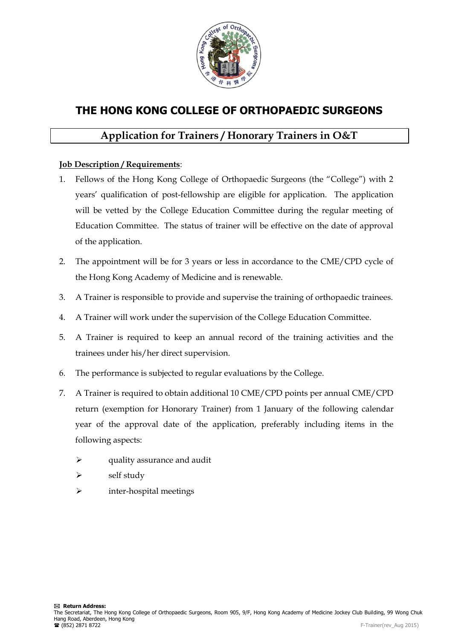

## **THE HONG KONG COLLEGE OF ORTHOPAEDIC SURGEONS**

## **Application for Trainers / Honorary Trainers in O&T**

## **Job Description / Requirements**:

- 1. Fellows of the Hong Kong College of Orthopaedic Surgeons (the "College") with 2 years' qualification of post-fellowship are eligible for application. The application will be vetted by the College Education Committee during the regular meeting of Education Committee. The status of trainer will be effective on the date of approval of the application.
- 2. The appointment will be for 3 years or less in accordance to the CME/CPD cycle of the Hong Kong Academy of Medicine and is renewable.
- 3. A Trainer is responsible to provide and supervise the training of orthopaedic trainees.
- 4. A Trainer will work under the supervision of the College Education Committee.
- 5. A Trainer is required to keep an annual record of the training activities and the trainees under his/her direct supervision.
- 6. The performance is subjected to regular evaluations by the College.
- 7. A Trainer is required to obtain additional 10 CME/CPD points per annual CME/CPD return (exemption for Honorary Trainer) from 1 January of the following calendar year of the approval date of the application, preferably including items in the following aspects:
	- $\triangleright$  quality assurance and audit
	- $\triangleright$  self study
	- inter-hospital meetings